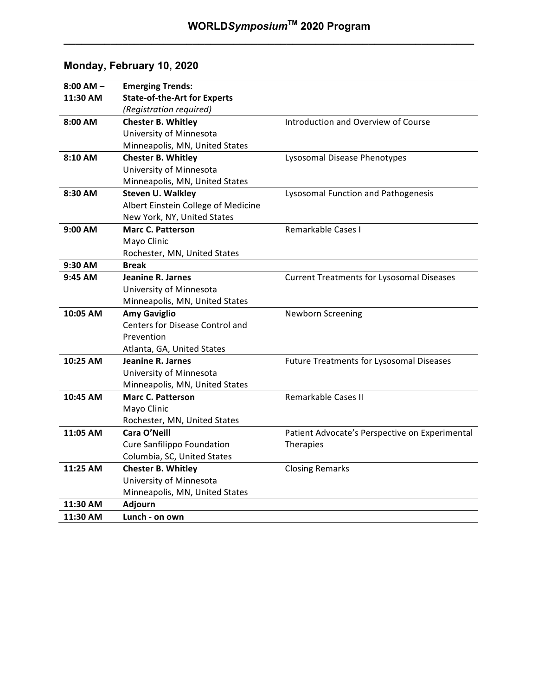**\_\_\_\_\_\_\_\_\_\_\_\_\_\_\_\_\_\_\_\_\_\_\_\_\_\_\_\_\_\_\_\_\_\_\_\_\_\_\_\_\_\_\_\_\_\_\_\_\_\_\_\_\_\_\_\_\_\_\_\_\_\_\_\_\_\_\_\_\_\_**

# **Monday, February 10, 2020**

| $8:00$ AM $-$ | <b>Emerging Trends:</b>             |                                                  |
|---------------|-------------------------------------|--------------------------------------------------|
| 11:30 AM      | <b>State-of-the-Art for Experts</b> |                                                  |
|               | (Registration required)             |                                                  |
| 8:00 AM       | <b>Chester B. Whitley</b>           | Introduction and Overview of Course              |
|               | University of Minnesota             |                                                  |
|               | Minneapolis, MN, United States      |                                                  |
| 8:10 AM       | <b>Chester B. Whitley</b>           | Lysosomal Disease Phenotypes                     |
|               | University of Minnesota             |                                                  |
|               | Minneapolis, MN, United States      |                                                  |
| 8:30 AM       | <b>Steven U. Walkley</b>            | Lysosomal Function and Pathogenesis              |
|               | Albert Einstein College of Medicine |                                                  |
|               | New York, NY, United States         |                                                  |
| 9:00 AM       | <b>Marc C. Patterson</b>            | Remarkable Cases I                               |
|               | Mayo Clinic                         |                                                  |
|               | Rochester, MN, United States        |                                                  |
| 9:30 AM       | Break                               |                                                  |
| $9:45$ AM     | Jeanine R. Jarnes                   | <b>Current Treatments for Lysosomal Diseases</b> |
|               | University of Minnesota             |                                                  |
|               | Minneapolis, MN, United States      |                                                  |
| 10:05 AM      | <b>Amy Gaviglio</b>                 | Newborn Screening                                |
|               | Centers for Disease Control and     |                                                  |
|               | Prevention                          |                                                  |
|               | Atlanta, GA, United States          |                                                  |
| 10:25 AM      | Jeanine R. Jarnes                   | <b>Future Treatments for Lysosomal Diseases</b>  |
|               | University of Minnesota             |                                                  |
|               | Minneapolis, MN, United States      |                                                  |
| 10:45 AM      | <b>Marc C. Patterson</b>            | <b>Remarkable Cases II</b>                       |
|               | Mayo Clinic                         |                                                  |
|               | Rochester, MN, United States        |                                                  |
| 11:05 AM      | Cara O'Neill                        | Patient Advocate's Perspective on Experimental   |
|               | Cure Sanfilippo Foundation          | Therapies                                        |
|               | Columbia, SC, United States         |                                                  |
| 11:25 AM      | <b>Chester B. Whitley</b>           | <b>Closing Remarks</b>                           |
|               | University of Minnesota             |                                                  |
|               | Minneapolis, MN, United States      |                                                  |
| 11:30 AM      | Adjourn                             |                                                  |
| 11:30 AM      | Lunch - on own                      |                                                  |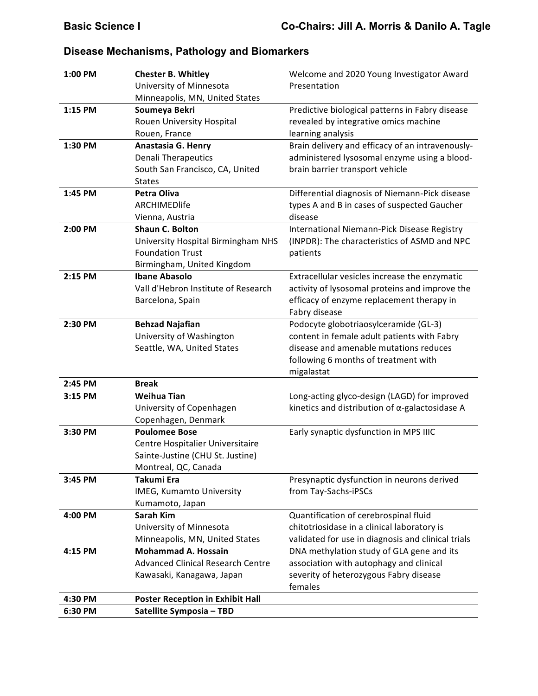| 1:00 PM | <b>Chester B. Whitley</b><br>University of Minnesota                                                                  | Welcome and 2020 Young Investigator Award<br>Presentation                                                                                                                            |
|---------|-----------------------------------------------------------------------------------------------------------------------|--------------------------------------------------------------------------------------------------------------------------------------------------------------------------------------|
| 1:15 PM | Minneapolis, MN, United States<br>Soumeya Bekri<br>Rouen University Hospital<br>Rouen, France                         | Predictive biological patterns in Fabry disease<br>revealed by integrative omics machine<br>learning analysis                                                                        |
| 1:30 PM | Anastasia G. Henry<br><b>Denali Therapeutics</b><br>South San Francisco, CA, United<br><b>States</b>                  | Brain delivery and efficacy of an intravenously-<br>administered lysosomal enzyme using a blood-<br>brain barrier transport vehicle                                                  |
| 1:45 PM | Petra Oliva<br>ARCHIMEDlife<br>Vienna, Austria                                                                        | Differential diagnosis of Niemann-Pick disease<br>types A and B in cases of suspected Gaucher<br>disease                                                                             |
| 2:00 PM | <b>Shaun C. Bolton</b><br>University Hospital Birmingham NHS<br><b>Foundation Trust</b><br>Birmingham, United Kingdom | International Niemann-Pick Disease Registry<br>(INPDR): The characteristics of ASMD and NPC<br>patients                                                                              |
| 2:15 PM | <b>Ibane Abasolo</b><br>Vall d'Hebron Institute of Research<br>Barcelona, Spain                                       | Extracellular vesicles increase the enzymatic<br>activity of lysosomal proteins and improve the<br>efficacy of enzyme replacement therapy in<br>Fabry disease                        |
| 2:30 PM | <b>Behzad Najafian</b><br>University of Washington<br>Seattle, WA, United States                                      | Podocyte globotriaosylceramide (GL-3)<br>content in female adult patients with Fabry<br>disease and amenable mutations reduces<br>following 6 months of treatment with<br>migalastat |
| 2:45 PM | <b>Break</b>                                                                                                          |                                                                                                                                                                                      |
| 3:15 PM | <b>Weihua Tian</b><br>University of Copenhagen<br>Copenhagen, Denmark                                                 | Long-acting glyco-design (LAGD) for improved<br>kinetics and distribution of $\alpha$ -galactosidase A                                                                               |
| 3:30 PM | <b>Poulomee Bose</b><br>Centre Hospitalier Universitaire<br>Sainte-Justine (CHU St. Justine)<br>Montreal, QC, Canada  | Early synaptic dysfunction in MPS IIIC                                                                                                                                               |
| 3:45 PM | Takumi Era<br>IMEG, Kumamto University<br>Kumamoto, Japan                                                             | Presynaptic dysfunction in neurons derived<br>from Tay-Sachs-iPSCs                                                                                                                   |
| 4:00 PM | <b>Sarah Kim</b><br>University of Minnesota<br>Minneapolis, MN, United States                                         | Quantification of cerebrospinal fluid<br>chitotriosidase in a clinical laboratory is<br>validated for use in diagnosis and clinical trials                                           |
| 4:15 PM | <b>Mohammad A. Hossain</b><br><b>Advanced Clinical Research Centre</b><br>Kawasaki, Kanagawa, Japan                   | DNA methylation study of GLA gene and its<br>association with autophagy and clinical<br>severity of heterozygous Fabry disease<br>females                                            |
| 4:30 PM | <b>Poster Reception in Exhibit Hall</b>                                                                               |                                                                                                                                                                                      |
| 6:30 PM | Satellite Symposia - TBD                                                                                              |                                                                                                                                                                                      |

# **Disease Mechanisms, Pathology and Biomarkers**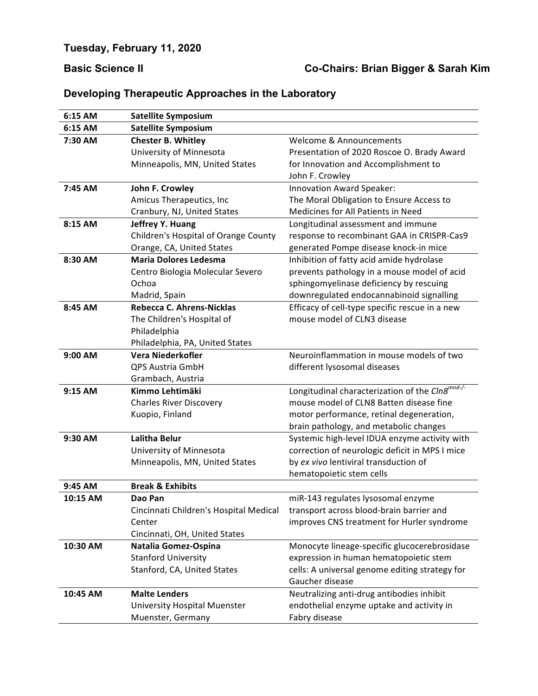# **Basic Science II Co-Chairs: Brian Bigger & Sarah Kim**

| 6:15 AM  | <b>Satellite Symposium</b>             |                                                             |
|----------|----------------------------------------|-------------------------------------------------------------|
| 6:15 AM  | <b>Satellite Symposium</b>             |                                                             |
| 7:30 AM  | <b>Chester B. Whitley</b>              | Welcome & Announcements                                     |
|          | University of Minnesota                | Presentation of 2020 Roscoe O. Brady Award                  |
|          | Minneapolis, MN, United States         | for Innovation and Accomplishment to                        |
|          |                                        | John F. Crowley                                             |
| 7:45 AM  | John F. Crowley                        | Innovation Award Speaker:                                   |
|          | Amicus Therapeutics, Inc               | The Moral Obligation to Ensure Access to                    |
|          | Cranbury, NJ, United States            | Medicines for All Patients in Need                          |
| 8:15 AM  | Jeffrey Y. Huang                       | Longitudinal assessment and immune                          |
|          | Children's Hospital of Orange County   | response to recombinant GAA in CRISPR-Cas9                  |
|          | Orange, CA, United States              | generated Pompe disease knock-in mice                       |
| 8:30 AM  | <b>Maria Dolores Ledesma</b>           | Inhibition of fatty acid amide hydrolase                    |
|          | Centro Biologia Molecular Severo       | prevents pathology in a mouse model of acid                 |
|          | Ochoa                                  | sphingomyelinase deficiency by rescuing                     |
|          | Madrid, Spain                          | downregulated endocannabinoid signalling                    |
| 8:45 AM  | Rebecca C. Ahrens-Nicklas              | Efficacy of cell-type specific rescue in a new              |
|          | The Children's Hospital of             | mouse model of CLN3 disease                                 |
|          | Philadelphia                           |                                                             |
|          | Philadelphia, PA, United States        |                                                             |
| 9:00 AM  | Vera Niederkofler                      | Neuroinflammation in mouse models of two                    |
|          | <b>QPS Austria GmbH</b>                | different lysosomal diseases                                |
|          | Grambach, Austria                      |                                                             |
| 9:15 AM  | Kimmo Lehtimäki                        | Longitudinal characterization of the CIn8 <sup>mnd-/-</sup> |
|          | <b>Charles River Discovery</b>         | mouse model of CLN8 Batten disease fine                     |
|          | Kuopio, Finland                        | motor performance, retinal degeneration,                    |
|          |                                        | brain pathology, and metabolic changes                      |
| 9:30 AM  | Lalitha Belur                          | Systemic high-level IDUA enzyme activity with               |
|          | University of Minnesota                | correction of neurologic deficit in MPS I mice              |
|          | Minneapolis, MN, United States         | by ex vivo lentiviral transduction of                       |
|          |                                        | hematopoietic stem cells                                    |
| 9:45 AM  | <b>Break &amp; Exhibits</b>            |                                                             |
| 10:15 AM | Dao Pan                                | miR-143 regulates lysosomal enzyme                          |
|          | Cincinnati Children's Hospital Medical | transport across blood-brain barrier and                    |
|          | Center                                 | improves CNS treatment for Hurler syndrome                  |
|          | Cincinnati, OH, United States          |                                                             |
| 10:30 AM | Natalia Gomez-Ospina                   | Monocyte lineage-specific glucocerebrosidase                |
|          | <b>Stanford University</b>             | expression in human hematopoietic stem                      |
|          | Stanford, CA, United States            | cells: A universal genome editing strategy for              |
|          |                                        | Gaucher disease                                             |
| 10:45 AM | <b>Malte Lenders</b>                   | Neutralizing anti-drug antibodies inhibit                   |
|          | University Hospital Muenster           | endothelial enzyme uptake and activity in                   |
|          | Muenster, Germany                      | Fabry disease                                               |

# **Developing Therapeutic Approaches in the Laboratory**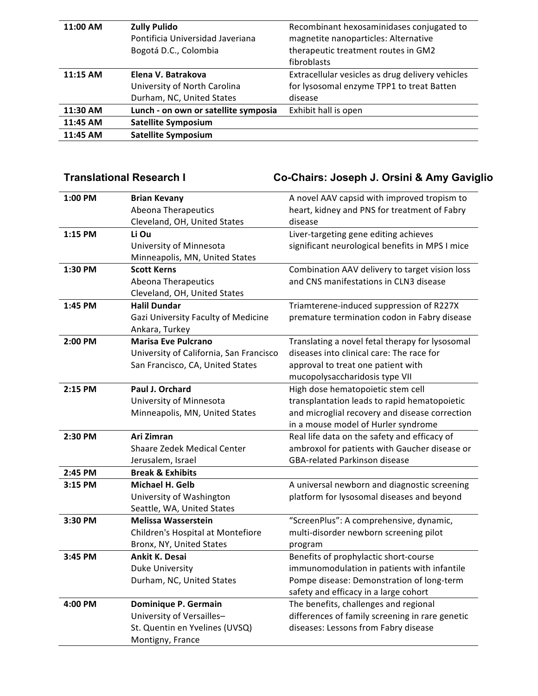| 11:00 AM | <b>Zully Pulido</b>                  | Recombinant hexosaminidases conjugated to        |
|----------|--------------------------------------|--------------------------------------------------|
|          | Pontificia Universidad Javeriana     | magnetite nanoparticles: Alternative             |
|          | Bogotá D.C., Colombia                | therapeutic treatment routes in GM2              |
|          |                                      | fibroblasts                                      |
| 11:15 AM | Elena V. Batrakova                   | Extracellular vesicles as drug delivery vehicles |
|          | University of North Carolina         | for lysosomal enzyme TPP1 to treat Batten        |
|          | Durham, NC, United States            | disease                                          |
| 11:30 AM | Lunch - on own or satellite symposia | Exhibit hall is open                             |
| 11:45 AM | <b>Satellite Symposium</b>           |                                                  |
| 11:45 AM | <b>Satellite Symposium</b>           |                                                  |
|          |                                      |                                                  |

# **Translational Research I Co-Chairs: Joseph J. Orsini & Amy Gaviglio**

| 1:00 PM | <b>Brian Kevany</b>                     | A novel AAV capsid with improved tropism to     |
|---------|-----------------------------------------|-------------------------------------------------|
|         | <b>Abeona Therapeutics</b>              | heart, kidney and PNS for treatment of Fabry    |
|         | Cleveland, OH, United States            | disease                                         |
| 1:15 PM | Li Ou                                   | Liver-targeting gene editing achieves           |
|         | University of Minnesota                 | significant neurological benefits in MPS I mice |
|         | Minneapolis, MN, United States          |                                                 |
| 1:30 PM | <b>Scott Kerns</b>                      | Combination AAV delivery to target vision loss  |
|         | <b>Abeona Therapeutics</b>              | and CNS manifestations in CLN3 disease          |
|         | Cleveland, OH, United States            |                                                 |
| 1:45 PM | <b>Halil Dundar</b>                     | Triamterene-induced suppression of R227X        |
|         | Gazi University Faculty of Medicine     | premature termination codon in Fabry disease    |
|         | Ankara, Turkey                          |                                                 |
| 2:00 PM | <b>Marisa Eve Pulcrano</b>              | Translating a novel fetal therapy for lysosomal |
|         | University of California, San Francisco | diseases into clinical care: The race for       |
|         | San Francisco, CA, United States        | approval to treat one patient with              |
|         |                                         | mucopolysaccharidosis type VII                  |
| 2:15 PM | Paul J. Orchard                         | High dose hematopoietic stem cell               |
|         | University of Minnesota                 | transplantation leads to rapid hematopoietic    |
|         | Minneapolis, MN, United States          | and microglial recovery and disease correction  |
|         |                                         | in a mouse model of Hurler syndrome             |
| 2:30 PM | Ari Zimran                              | Real life data on the safety and efficacy of    |
|         | Shaare Zedek Medical Center             | ambroxol for patients with Gaucher disease or   |
|         | Jerusalem, Israel                       | <b>GBA-related Parkinson disease</b>            |
| 2:45 PM | <b>Break &amp; Exhibits</b>             |                                                 |
| 3:15 PM | Michael H. Gelb                         | A universal newborn and diagnostic screening    |
|         | University of Washington                | platform for lysosomal diseases and beyond      |
|         | Seattle, WA, United States              |                                                 |
| 3:30 PM | <b>Melissa Wasserstein</b>              | "ScreenPlus": A comprehensive, dynamic,         |
|         | Children's Hospital at Montefiore       | multi-disorder newborn screening pilot          |
|         | Bronx, NY, United States                | program                                         |
| 3:45 PM | Ankit K. Desai                          | Benefits of prophylactic short-course           |
|         | Duke University                         | immunomodulation in patients with infantile     |
|         | Durham, NC, United States               | Pompe disease: Demonstration of long-term       |
|         |                                         | safety and efficacy in a large cohort           |
| 4:00 PM | Dominique P. Germain                    | The benefits, challenges and regional           |
|         | University of Versailles-               | differences of family screening in rare genetic |
|         | St. Quentin en Yvelines (UVSQ)          | diseases: Lessons from Fabry disease            |
|         | Montigny, France                        |                                                 |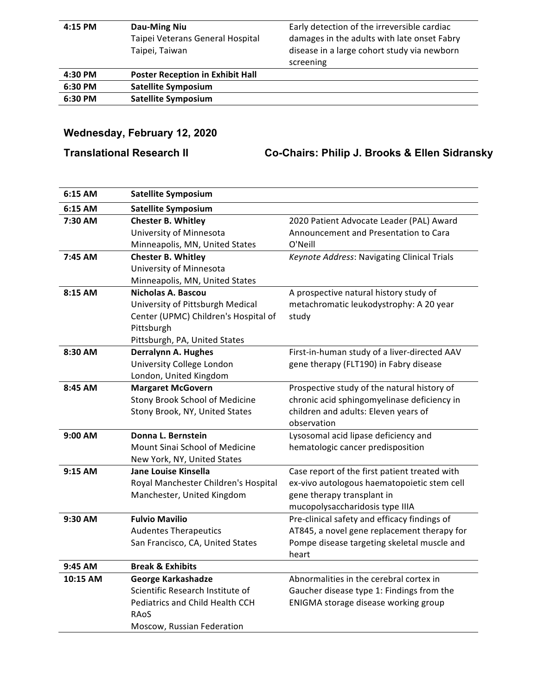| 4:15 PM | Dau-Ming Niu                            | Early detection of the irreversible cardiac |
|---------|-----------------------------------------|---------------------------------------------|
|         | Taipei Veterans General Hospital        | damages in the adults with late onset Fabry |
|         | Taipei, Taiwan                          | disease in a large cohort study via newborn |
|         |                                         | screening                                   |
| 4:30 PM | <b>Poster Reception in Exhibit Hall</b> |                                             |
| 6:30 PM | <b>Satellite Symposium</b>              |                                             |
| 6:30 PM | <b>Satellite Symposium</b>              |                                             |

# **Wednesday, February 12, 2020**

**Translational Research II Co-Chairs: Philip J. Brooks & Ellen Sidransky**

| 6:15 AM  | <b>Satellite Symposium</b>           |                                               |
|----------|--------------------------------------|-----------------------------------------------|
| 6:15 AM  | <b>Satellite Symposium</b>           |                                               |
| 7:30 AM  | <b>Chester B. Whitley</b>            | 2020 Patient Advocate Leader (PAL) Award      |
|          | University of Minnesota              | Announcement and Presentation to Cara         |
|          | Minneapolis, MN, United States       | O'Neill                                       |
| 7:45 AM  | <b>Chester B. Whitley</b>            | Keynote Address: Navigating Clinical Trials   |
|          | University of Minnesota              |                                               |
|          | Minneapolis, MN, United States       |                                               |
| 8:15 AM  | Nicholas A. Bascou                   | A prospective natural history study of        |
|          | University of Pittsburgh Medical     | metachromatic leukodystrophy: A 20 year       |
|          | Center (UPMC) Children's Hospital of | study                                         |
|          | Pittsburgh                           |                                               |
|          | Pittsburgh, PA, United States        |                                               |
| 8:30 AM  | Derralynn A. Hughes                  | First-in-human study of a liver-directed AAV  |
|          | University College London            | gene therapy (FLT190) in Fabry disease        |
|          | London, United Kingdom               |                                               |
| 8:45 AM  | <b>Margaret McGovern</b>             | Prospective study of the natural history of   |
|          | Stony Brook School of Medicine       | chronic acid sphingomyelinase deficiency in   |
|          | Stony Brook, NY, United States       | children and adults: Eleven years of          |
|          |                                      | observation                                   |
| 9:00 AM  | Donna L. Bernstein                   | Lysosomal acid lipase deficiency and          |
|          | Mount Sinai School of Medicine       | hematologic cancer predisposition             |
|          | New York, NY, United States          |                                               |
| 9:15 AM  | Jane Louise Kinsella                 | Case report of the first patient treated with |
|          | Royal Manchester Children's Hospital | ex-vivo autologous haematopoietic stem cell   |
|          | Manchester, United Kingdom           | gene therapy transplant in                    |
|          |                                      | mucopolysaccharidosis type IIIA               |
| 9:30 AM  | <b>Fulvio Mavilio</b>                | Pre-clinical safety and efficacy findings of  |
|          | <b>Audentes Therapeutics</b>         | AT845, a novel gene replacement therapy for   |
|          | San Francisco, CA, United States     | Pompe disease targeting skeletal muscle and   |
|          |                                      | heart                                         |
| 9:45 AM  | <b>Break &amp; Exhibits</b>          |                                               |
| 10:15 AM | George Karkashadze                   | Abnormalities in the cerebral cortex in       |
|          | Scientific Research Institute of     | Gaucher disease type 1: Findings from the     |
|          | Pediatrics and Child Health CCH      | ENIGMA storage disease working group          |
|          | RAOS                                 |                                               |
|          | Moscow, Russian Federation           |                                               |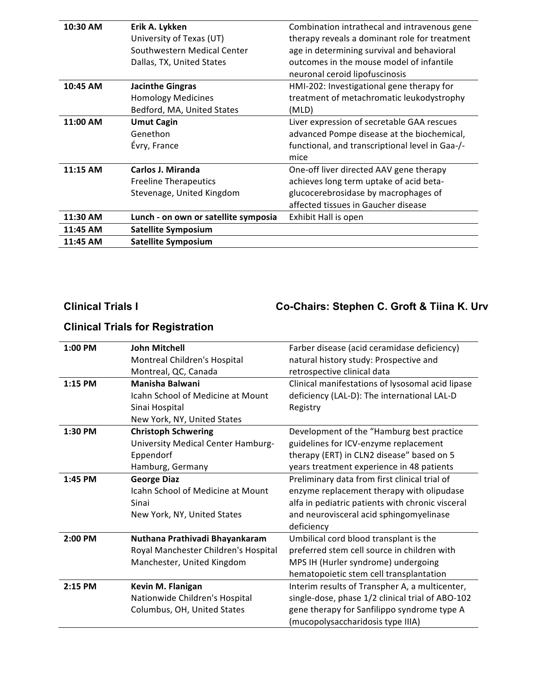| 10:30 AM | Erik A. Lykken                       | Combination intrathecal and intravenous gene    |
|----------|--------------------------------------|-------------------------------------------------|
|          | University of Texas (UT)             | therapy reveals a dominant role for treatment   |
|          | Southwestern Medical Center          | age in determining survival and behavioral      |
|          | Dallas, TX, United States            | outcomes in the mouse model of infantile        |
|          |                                      | neuronal ceroid lipofuscinosis                  |
| 10:45 AM | <b>Jacinthe Gingras</b>              | HMI-202: Investigational gene therapy for       |
|          | <b>Homology Medicines</b>            | treatment of metachromatic leukodystrophy       |
|          | Bedford, MA, United States           | (MLD)                                           |
| 11:00 AM | <b>Umut Cagin</b>                    | Liver expression of secretable GAA rescues      |
|          | Genethon                             | advanced Pompe disease at the biochemical,      |
|          | Évry, France                         | functional, and transcriptional level in Gaa-/- |
|          |                                      | mice                                            |
| 11:15 AM | Carlos J. Miranda                    | One-off liver directed AAV gene therapy         |
|          | <b>Freeline Therapeutics</b>         | achieves long term uptake of acid beta-         |
|          | Stevenage, United Kingdom            | glucocerebrosidase by macrophages of            |
|          |                                      | affected tissues in Gaucher disease             |
| 11:30 AM | Lunch - on own or satellite symposia | Exhibit Hall is open                            |
| 11:45 AM | <b>Satellite Symposium</b>           |                                                 |
| 11:45 AM | <b>Satellite Symposium</b>           |                                                 |

### **Clinical Trials I Co-Chairs: Stephen C. Groft & Tiina K. Urv**

### **1:00 PM John Mitchell** Montreal Children's Hospital Montreal, QC, Canada Farber disease (acid ceramidase deficiency) natural history study: Prospective and retrospective clinical data **1:15 PM Manisha Balwani** Icahn School of Medicine at Mount Sinai Hospital New York, NY, United States Clinical manifestations of lysosomal acid lipase deficiency (LAL-D): The international LAL-D Registry **1:30 PM Christoph Schwering** University Medical Center Hamburg-Eppendorf Hamburg, Germany Development of the "Hamburg best practice guidelines for ICV-enzyme replacement therapy (ERT) in CLN2 disease" based on 5 years treatment experience in 48 patients **1:45 PM George Diaz** Icahn School of Medicine at Mount Sinai New York, NY, United States Preliminary data from first clinical trial of enzyme replacement therapy with olipudase alfa in pediatric patients with chronic visceral and neurovisceral acid sphingomyelinase deficiency **2:00 PM Nuthana Prathivadi Bhayankaram** Royal Manchester Children's Hospital Manchester, United Kingdom Umbilical cord blood transplant is the preferred stem cell source in children with MPS IH (Hurler syndrome) undergoing hematopoietic stem cell transplantation **2:15 PM Kevin M. Flanigan** Nationwide Children's Hospital Columbus, OH, United States Interim results of Transpher A, a multicenter, single-dose, phase 1/2 clinical trial of ABO-102 gene therapy for Sanfilippo syndrome type A (mucopolysaccharidosis type IIIA)

### **Clinical Trials for Registration**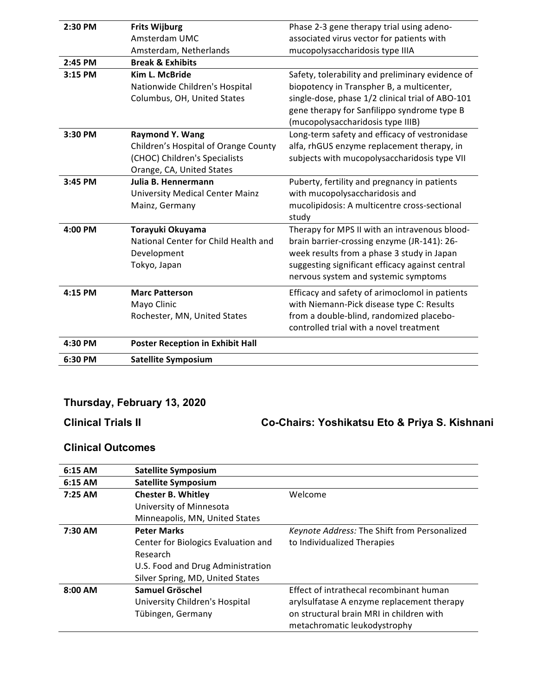| 2:30 PM | <b>Frits Wijburg</b>                    | Phase 2-3 gene therapy trial using adeno-        |
|---------|-----------------------------------------|--------------------------------------------------|
|         | Amsterdam UMC                           | associated virus vector for patients with        |
|         | Amsterdam, Netherlands                  | mucopolysaccharidosis type IIIA                  |
| 2:45 PM | <b>Break &amp; Exhibits</b>             |                                                  |
| 3:15 PM | Kim L. McBride                          | Safety, tolerability and preliminary evidence of |
|         | Nationwide Children's Hospital          | biopotency in Transpher B, a multicenter,        |
|         | Columbus, OH, United States             | single-dose, phase 1/2 clinical trial of ABO-101 |
|         |                                         | gene therapy for Sanfilippo syndrome type B      |
|         |                                         | (mucopolysaccharidosis type IIIB)                |
| 3:30 PM | <b>Raymond Y. Wang</b>                  | Long-term safety and efficacy of vestronidase    |
|         | Children's Hospital of Orange County    | alfa, rhGUS enzyme replacement therapy, in       |
|         | (CHOC) Children's Specialists           | subjects with mucopolysaccharidosis type VII     |
|         | Orange, CA, United States               |                                                  |
| 3:45 PM | Julia B. Hennermann                     | Puberty, fertility and pregnancy in patients     |
|         | University Medical Center Mainz         | with mucopolysaccharidosis and                   |
|         | Mainz, Germany                          | mucolipidosis: A multicentre cross-sectional     |
|         |                                         | study                                            |
| 4:00 PM | Torayuki Okuyama                        | Therapy for MPS II with an intravenous blood-    |
|         | National Center for Child Health and    | brain barrier-crossing enzyme (JR-141): 26-      |
|         | Development                             | week results from a phase 3 study in Japan       |
|         | Tokyo, Japan                            | suggesting significant efficacy against central  |
|         |                                         | nervous system and systemic symptoms             |
| 4:15 PM | <b>Marc Patterson</b>                   | Efficacy and safety of arimoclomol in patients   |
|         | Mayo Clinic                             | with Niemann-Pick disease type C: Results        |
|         | Rochester, MN, United States            | from a double-blind, randomized placebo-         |
|         |                                         | controlled trial with a novel treatment          |
| 4:30 PM | <b>Poster Reception in Exhibit Hall</b> |                                                  |
| 6:30 PM | <b>Satellite Symposium</b>              |                                                  |

# **Thursday, February 13, 2020**

**Clinical Trials II Co-Chairs: Yoshikatsu Eto & Priya S. Kishnani**

### **Clinical Outcomes**

| 6:15 AM   | <b>Satellite Symposium</b>          |                                              |
|-----------|-------------------------------------|----------------------------------------------|
| 6:15 AM   | <b>Satellite Symposium</b>          |                                              |
| $7:25$ AM | <b>Chester B. Whitley</b>           | Welcome                                      |
|           | University of Minnesota             |                                              |
|           | Minneapolis, MN, United States      |                                              |
| 7:30 AM   | <b>Peter Marks</b>                  | Keynote Address: The Shift from Personalized |
|           | Center for Biologics Evaluation and | to Individualized Therapies                  |
|           | Research                            |                                              |
|           | U.S. Food and Drug Administration   |                                              |
|           | Silver Spring, MD, United States    |                                              |
| $8:00$ AM | Samuel Gröschel                     | Effect of intrathecal recombinant human      |
|           | University Children's Hospital      | arylsulfatase A enzyme replacement therapy   |
|           | Tübingen, Germany                   | on structural brain MRI in children with     |
|           |                                     | metachromatic leukodystrophy                 |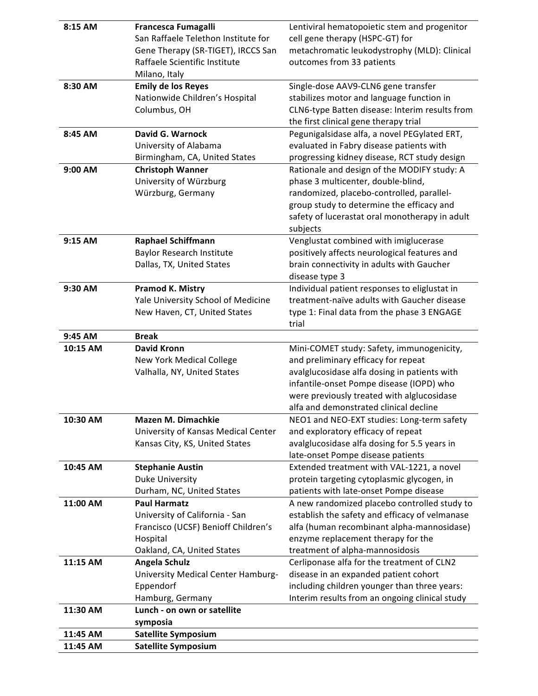| 8:15 AM  | <b>Francesca Fumagalli</b>                                            | Lentiviral hematopoietic stem and progenitor                                             |
|----------|-----------------------------------------------------------------------|------------------------------------------------------------------------------------------|
|          | San Raffaele Telethon Institute for                                   | cell gene therapy (HSPC-GT) for                                                          |
|          | Gene Therapy (SR-TIGET), IRCCS San                                    | metachromatic leukodystrophy (MLD): Clinical                                             |
|          | Raffaele Scientific Institute                                         | outcomes from 33 patients                                                                |
|          | Milano, Italy                                                         |                                                                                          |
| 8:30 AM  | <b>Emily de los Reyes</b>                                             | Single-dose AAV9-CLN6 gene transfer                                                      |
|          | Nationwide Children's Hospital                                        | stabilizes motor and language function in                                                |
|          | Columbus, OH                                                          | CLN6-type Batten disease: Interim results from                                           |
|          | <b>David G. Warnock</b>                                               | the first clinical gene therapy trial                                                    |
| 8:45 AM  |                                                                       | Pegunigalsidase alfa, a novel PEGylated ERT,                                             |
|          | University of Alabama                                                 | evaluated in Fabry disease patients with<br>progressing kidney disease, RCT study design |
| 9:00 AM  | Birmingham, CA, United States<br><b>Christoph Wanner</b>              | Rationale and design of the MODIFY study: A                                              |
|          | University of Würzburg                                                | phase 3 multicenter, double-blind,                                                       |
|          | Würzburg, Germany                                                     | randomized, placebo-controlled, parallel-                                                |
|          |                                                                       | group study to determine the efficacy and                                                |
|          |                                                                       | safety of lucerastat oral monotherapy in adult                                           |
|          |                                                                       | subjects                                                                                 |
| 9:15 AM  | <b>Raphael Schiffmann</b>                                             | Venglustat combined with imiglucerase                                                    |
|          | <b>Baylor Research Institute</b>                                      | positively affects neurological features and                                             |
|          | Dallas, TX, United States                                             | brain connectivity in adults with Gaucher                                                |
|          |                                                                       | disease type 3                                                                           |
| 9:30 AM  | <b>Pramod K. Mistry</b>                                               | Individual patient responses to eliglustat in                                            |
|          | Yale University School of Medicine                                    | treatment-naïve adults with Gaucher disease                                              |
|          | New Haven, CT, United States                                          | type 1: Final data from the phase 3 ENGAGE                                               |
|          |                                                                       | trial                                                                                    |
| 9:45 AM  | <b>Break</b>                                                          |                                                                                          |
| 10:15 AM | <b>David Kronn</b>                                                    | Mini-COMET study: Safety, immunogenicity,                                                |
|          | New York Medical College                                              | and preliminary efficacy for repeat                                                      |
|          | Valhalla, NY, United States                                           | avalglucosidase alfa dosing in patients with                                             |
|          |                                                                       | infantile-onset Pompe disease (IOPD) who                                                 |
|          |                                                                       | were previously treated with alglucosidase                                               |
|          |                                                                       | alfa and demonstrated clinical decline                                                   |
| 10:30 AM | Mazen M. Dimachkie                                                    | NEO1 and NEO-EXT studies: Long-term safety                                               |
|          | University of Kansas Medical Center<br>Kansas City, KS, United States | and exploratory efficacy of repeat<br>avalglucosidase alfa dosing for 5.5 years in       |
|          |                                                                       | late-onset Pompe disease patients                                                        |
| 10:45 AM | <b>Stephanie Austin</b>                                               | Extended treatment with VAL-1221, a novel                                                |
|          | Duke University                                                       | protein targeting cytoplasmic glycogen, in                                               |
|          | Durham, NC, United States                                             | patients with late-onset Pompe disease                                                   |
| 11:00 AM | <b>Paul Harmatz</b>                                                   | A new randomized placebo controlled study to                                             |
|          | University of California - San                                        | establish the safety and efficacy of velmanase                                           |
|          | Francisco (UCSF) Benioff Children's                                   | alfa (human recombinant alpha-mannosidase)                                               |
|          | Hospital                                                              | enzyme replacement therapy for the                                                       |
|          | Oakland, CA, United States                                            | treatment of alpha-mannosidosis                                                          |
| 11:15 AM | Angela Schulz                                                         | Cerliponase alfa for the treatment of CLN2                                               |
|          | University Medical Center Hamburg-                                    | disease in an expanded patient cohort                                                    |
|          | Eppendorf                                                             | including children younger than three years:                                             |
|          | Hamburg, Germany                                                      | Interim results from an ongoing clinical study                                           |
| 11:30 AM | Lunch - on own or satellite                                           |                                                                                          |
|          | symposia                                                              |                                                                                          |
| 11:45 AM | <b>Satellite Symposium</b>                                            |                                                                                          |
| 11:45 AM | <b>Satellite Symposium</b>                                            |                                                                                          |